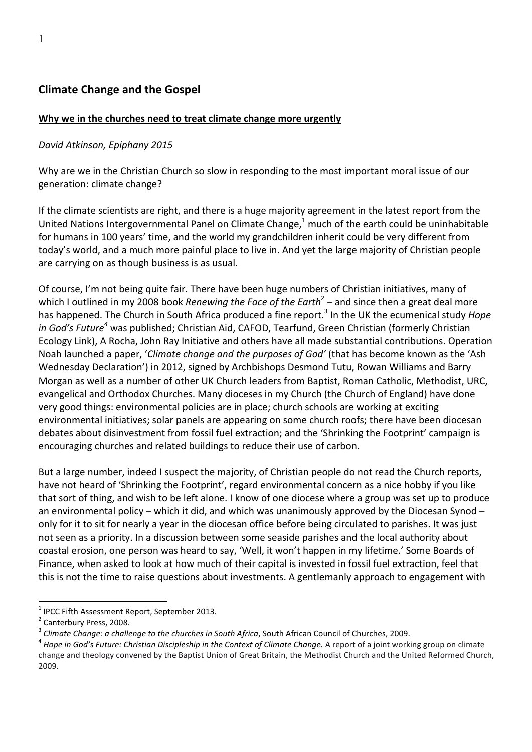### **Why** we in the churches need to treat climate change more urgently

#### *David Atkinson, Epiphany 2015*

Why are we in the Christian Church so slow in responding to the most important moral issue of our generation: climate change?

If the climate scientists are right, and there is a huge majority agreement in the latest report from the United Nations Intergovernmental Panel on Climate Change, $^1$  much of the earth could be uninhabitable for humans in 100 years' time, and the world my grandchildren inherit could be very different from today's world, and a much more painful place to live in. And yet the large majority of Christian people are carrying on as though business is as usual.

Of course, I'm not being quite fair. There have been huge numbers of Christian initiatives, many of which I outlined in my 2008 book *Renewing the Face of the Earth*<sup>2</sup> – and since then a great deal more has happened. The Church in South Africa produced a fine report.<sup>3</sup> In the UK the ecumenical study *Hope in God's Future<sup>4</sup>* was published; Christian Aid, CAFOD, Tearfund, Green Christian (formerly Christian Ecology Link), A Rocha, John Ray Initiative and others have all made substantial contributions. Operation Noah launched a paper, '*Climate change and the purposes of God'* (that has become known as the 'Ash Wednesday Declaration') in 2012, signed by Archbishops Desmond Tutu, Rowan Williams and Barry Morgan as well as a number of other UK Church leaders from Baptist, Roman Catholic, Methodist, URC, evangelical and Orthodox Churches. Many dioceses in my Church (the Church of England) have done very good things: environmental policies are in place; church schools are working at exciting environmental initiatives; solar panels are appearing on some church roofs; there have been diocesan debates about disinvestment from fossil fuel extraction; and the 'Shrinking the Footprint' campaign is encouraging churches and related buildings to reduce their use of carbon.

But a large number, indeed I suspect the majority, of Christian people do not read the Church reports, have not heard of 'Shrinking the Footprint', regard environmental concern as a nice hobby if you like that sort of thing, and wish to be left alone. I know of one diocese where a group was set up to produce an environmental policy – which it did, and which was unanimously approved by the Diocesan Synod – only for it to sit for nearly a year in the diocesan office before being circulated to parishes. It was just not seen as a priority. In a discussion between some seaside parishes and the local authority about coastal erosion, one person was heard to say, 'Well, it won't happen in my lifetime.' Some Boards of Finance, when asked to look at how much of their capital is invested in fossil fuel extraction, feel that this is not the time to raise questions about investments. A gentlemanly approach to engagement with

<sup>&</sup>lt;sup>1</sup> IPCC Fifth Assessment Report, September 2013.<br><sup>2</sup> Canterbury Press, 2008.<br><sup>3</sup> Climate Change: a challenge to the churches in South Africa, South African Council of Churches, 2009.<br><sup>4</sup> Hope in God's Future: Christian D

change and theology convened by the Baptist Union of Great Britain, the Methodist Church and the United Reformed Church, 2009.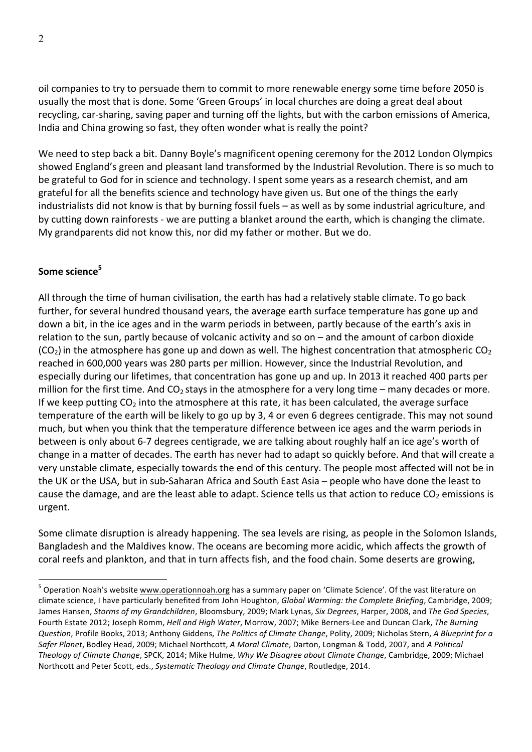oil companies to try to persuade them to commit to more renewable energy some time before 2050 is usually the most that is done. Some 'Green Groups' in local churches are doing a great deal about recycling, car-sharing, saving paper and turning off the lights, but with the carbon emissions of America, India and China growing so fast, they often wonder what is really the point?

We need to step back a bit. Danny Boyle's magnificent opening ceremony for the 2012 London Olympics showed England's green and pleasant land transformed by the Industrial Revolution. There is so much to be grateful to God for in science and technology. I spent some years as a research chemist, and am grateful for all the benefits science and technology have given us. But one of the things the early industrialists did not know is that by burning fossil fuels – as well as by some industrial agriculture, and by cutting down rainforests - we are putting a blanket around the earth, which is changing the climate. My grandparents did not know this, nor did my father or mother. But we do.

# Some science<sup>5</sup>

All through the time of human civilisation, the earth has had a relatively stable climate. To go back further, for several hundred thousand years, the average earth surface temperature has gone up and down a bit, in the ice ages and in the warm periods in between, partly because of the earth's axis in relation to the sun, partly because of volcanic activity and so on  $-$  and the amount of carbon dioxide  $(CO<sub>2</sub>)$  in the atmosphere has gone up and down as well. The highest concentration that atmospheric  $CO<sub>2</sub>$ reached in 600,000 years was 280 parts per million. However, since the Industrial Revolution, and especially during our lifetimes, that concentration has gone up and up. In 2013 it reached 400 parts per million for the first time. And  $CO<sub>2</sub>$  stays in the atmosphere for a very long time – many decades or more. If we keep putting  $CO<sub>2</sub>$  into the atmosphere at this rate, it has been calculated, the average surface temperature of the earth will be likely to go up by 3, 4 or even 6 degrees centigrade. This may not sound much, but when you think that the temperature difference between ice ages and the warm periods in between is only about 6-7 degrees centigrade, we are talking about roughly half an ice age's worth of change in a matter of decades. The earth has never had to adapt so quickly before. And that will create a very unstable climate, especially towards the end of this century. The people most affected will not be in the UK or the USA, but in sub-Saharan Africa and South East Asia – people who have done the least to cause the damage, and are the least able to adapt. Science tells us that action to reduce  $CO<sub>2</sub>$  emissions is urgent.

Some climate disruption is already happening. The sea levels are rising, as people in the Solomon Islands, Bangladesh and the Maldives know. The oceans are becoming more acidic, which affects the growth of coral reefs and plankton, and that in turn affects fish, and the food chain. Some deserts are growing,

 $5$  Operation Noah's website www.operationnoah.org has a summary paper on 'Climate Science'. Of the vast literature on climate science, I have particularly benefited from John Houghton, *Global Warming: the Complete Briefing*, Cambridge, 2009; James Hansen, *Storms of my Grandchildren*, Bloomsbury, 2009; Mark Lynas, *Six Degrees*, Harper, 2008, and The God Species, Fourth Estate 2012; Joseph Romm, *Hell and High Water*, Morrow, 2007; Mike Berners-Lee and Duncan Clark, The Burning *Question, Profile Books, 2013; Anthony Giddens, The Politics of Climate Change, Polity, 2009; Nicholas Stern, A Blueprint for a* Safer Planet, Bodley Head, 2009; Michael Northcott, *A Moral Climate*, Darton, Longman & Todd, 2007, and *A Political Theology of Climate Change*, SPCK, 2014; Mike Hulme, *Why We Disagree about Climate Change*, Cambridge, 2009; Michael Northcott and Peter Scott, eds., *Systematic Theology and Climate Change*, Routledge, 2014.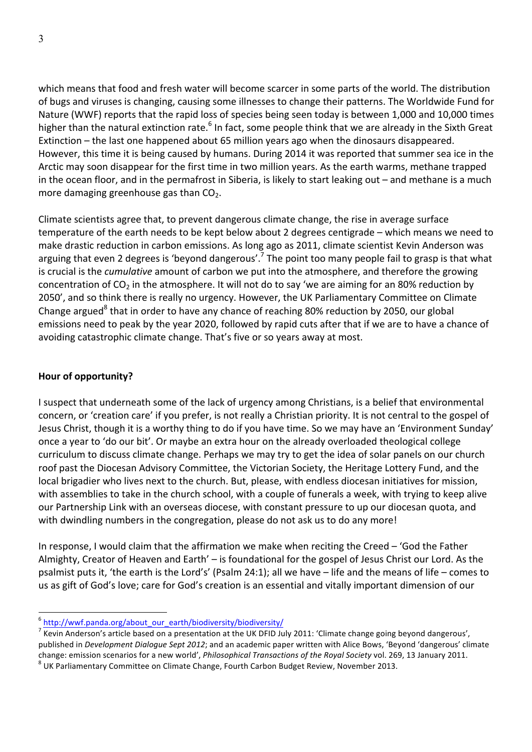which means that food and fresh water will become scarcer in some parts of the world. The distribution of bugs and viruses is changing, causing some illnesses to change their patterns. The Worldwide Fund for Nature (WWF) reports that the rapid loss of species being seen today is between 1,000 and 10,000 times higher than the natural extinction rate.<sup>6</sup> In fact, some people think that we are already in the Sixth Great Extinction – the last one happened about 65 million years ago when the dinosaurs disappeared. However, this time it is being caused by humans. During 2014 it was reported that summer sea ice in the Arctic may soon disappear for the first time in two million years. As the earth warms, methane trapped in the ocean floor, and in the permafrost in Siberia, is likely to start leaking out  $-$  and methane is a much more damaging greenhouse gas than  $CO<sub>2</sub>$ .

Climate scientists agree that, to prevent dangerous climate change, the rise in average surface temperature of the earth needs to be kept below about 2 degrees centigrade – which means we need to make drastic reduction in carbon emissions. As long ago as 2011, climate scientist Kevin Anderson was arguing that even 2 degrees is 'beyond dangerous'.<sup>7</sup> The point too many people fail to grasp is that what is crucial is the *cumulative* amount of carbon we put into the atmosphere, and therefore the growing concentration of  $CO<sub>2</sub>$  in the atmosphere. It will not do to say 'we are aiming for an 80% reduction by 2050', and so think there is really no urgency. However, the UK Parliamentary Committee on Climate Change argued<sup>8</sup> that in order to have any chance of reaching 80% reduction by 2050, our global emissions need to peak by the year 2020, followed by rapid cuts after that if we are to have a chance of avoiding catastrophic climate change. That's five or so years away at most.

### **Hour of opportunity?**

I suspect that underneath some of the lack of urgency among Christians, is a belief that environmental concern, or 'creation care' if you prefer, is not really a Christian priority. It is not central to the gospel of Jesus Christ, though it is a worthy thing to do if you have time. So we may have an 'Environment Sunday' once a year to 'do our bit'. Or maybe an extra hour on the already overloaded theological college curriculum to discuss climate change. Perhaps we may try to get the idea of solar panels on our church roof past the Diocesan Advisory Committee, the Victorian Society, the Heritage Lottery Fund, and the local brigadier who lives next to the church. But, please, with endless diocesan initiatives for mission, with assemblies to take in the church school, with a couple of funerals a week, with trying to keep alive our Partnership Link with an overseas diocese, with constant pressure to up our diocesan quota, and with dwindling numbers in the congregation, please do not ask us to do any more!

In response, I would claim that the affirmation we make when reciting the Creed  $-$  'God the Father Almighty, Creator of Heaven and Earth' - is foundational for the gospel of Jesus Christ our Lord. As the psalmist puts it, 'the earth is the Lord's' (Psalm 24:1); all we have  $-$  life and the means of life  $-$  comes to us as gift of God's love; care for God's creation is an essential and vitally important dimension of our

<sup>&</sup>lt;sup>6</sup> http://wwf.panda.org/about\_our\_earth/biodiversity/biodiversity/

 $^7$  Kevin Anderson's article based on a presentation at the UK DFID July 2011: 'Climate change going beyond dangerous', published in *Development Dialogue Sept 2012*; and an academic paper written with Alice Bows, 'Beyond 'dangerous' climate change: emission scenarios for a new world', *Philosophical Transactions of the Royal Society* vol. 269, 13 January 2011. <sup>8</sup> UK Parliamentary Committee on Climate Change, Fourth Carbon Budget Review, November 2013.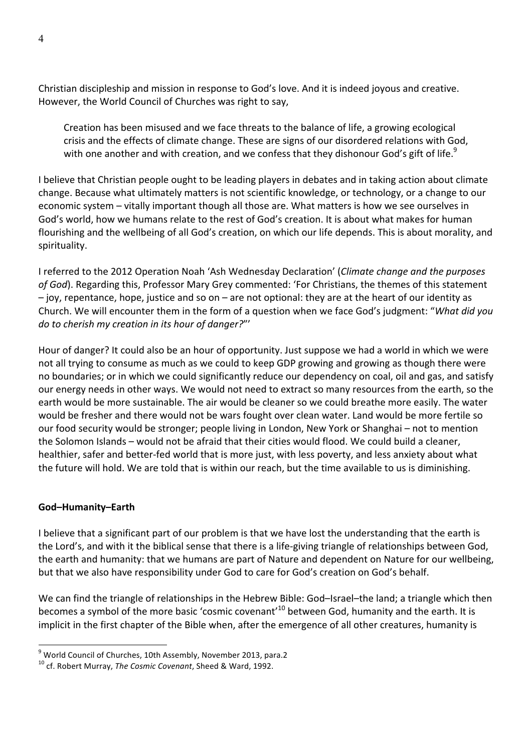Christian discipleship and mission in response to God's love. And it is indeed joyous and creative. However, the World Council of Churches was right to say,

Creation has been misused and we face threats to the balance of life, a growing ecological crisis and the effects of climate change. These are signs of our disordered relations with God, with one another and with creation, and we confess that they dishonour God's gift of life. $^9$ 

I believe that Christian people ought to be leading players in debates and in taking action about climate change. Because what ultimately matters is not scientific knowledge, or technology, or a change to our economic system - vitally important though all those are. What matters is how we see ourselves in God's world, how we humans relate to the rest of God's creation. It is about what makes for human flourishing and the wellbeing of all God's creation, on which our life depends. This is about morality, and spirituality.

I referred to the 2012 Operation Noah 'Ash Wednesday Declaration' (*Climate change and the purposes* of God). Regarding this, Professor Mary Grey commented: 'For Christians, the themes of this statement  $-$  joy, repentance, hope, justice and so on  $-$  are not optional: they are at the heart of our identity as Church. We will encounter them in the form of a question when we face God's judgment: "*What did you do to cherish my creation in its hour of danger?"'* 

Hour of danger? It could also be an hour of opportunity. Just suppose we had a world in which we were not all trying to consume as much as we could to keep GDP growing and growing as though there were no boundaries; or in which we could significantly reduce our dependency on coal, oil and gas, and satisfy our energy needs in other ways. We would not need to extract so many resources from the earth, so the earth would be more sustainable. The air would be cleaner so we could breathe more easily. The water would be fresher and there would not be wars fought over clean water. Land would be more fertile so our food security would be stronger; people living in London, New York or Shanghai – not to mention the Solomon Islands – would not be afraid that their cities would flood. We could build a cleaner, healthier, safer and better-fed world that is more just, with less poverty, and less anxiety about what the future will hold. We are told that is within our reach, but the time available to us is diminishing.

### **God–Humanity–Earth**

I believe that a significant part of our problem is that we have lost the understanding that the earth is the Lord's, and with it the biblical sense that there is a life-giving triangle of relationships between God, the earth and humanity: that we humans are part of Nature and dependent on Nature for our wellbeing, but that we also have responsibility under God to care for God's creation on God's behalf.

We can find the triangle of relationships in the Hebrew Bible: God-Israel-the land; a triangle which then becomes a symbol of the more basic 'cosmic covenant'<sup>10</sup> between God, humanity and the earth. It is implicit in the first chapter of the Bible when, after the emergence of all other creatures, humanity is

<sup>&</sup>lt;sup>9</sup> World Council of Churches, 10th Assembly, November 2013, para.2 <sup>10</sup> cf. Robert Murray, *The Cosmic Covenant*, Sheed & Ward, 1992.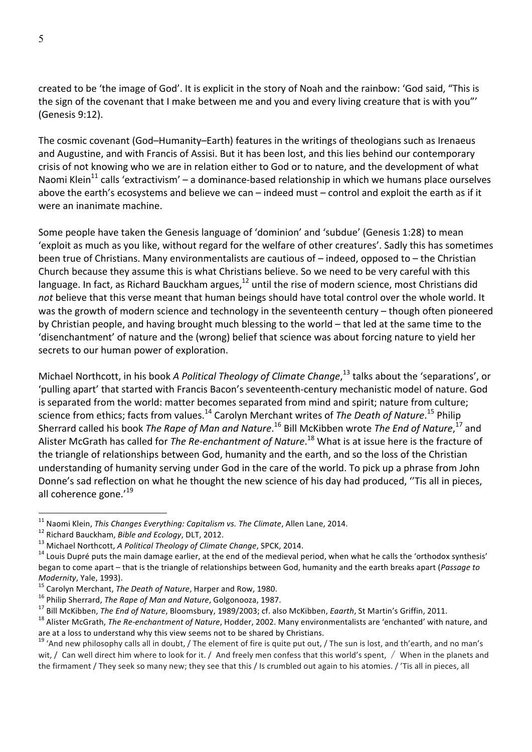created to be 'the image of God'. It is explicit in the story of Noah and the rainbow: 'God said, "This is the sign of the covenant that I make between me and you and every living creature that is with you"' (Genesis 9:12).

The cosmic covenant (God–Humanity–Earth) features in the writings of theologians such as Irenaeus and Augustine, and with Francis of Assisi. But it has been lost, and this lies behind our contemporary crisis of not knowing who we are in relation either to God or to nature, and the development of what Naomi Klein<sup>11</sup> calls 'extractivism' – a dominance-based relationship in which we humans place ourselves above the earth's ecosystems and believe we can – indeed must – control and exploit the earth as if it were an inanimate machine.

Some people have taken the Genesis language of 'dominion' and 'subdue' (Genesis 1:28) to mean 'exploit as much as you like, without regard for the welfare of other creatures'. Sadly this has sometimes been true of Christians. Many environmentalists are cautious of  $-$  indeed, opposed to  $-$  the Christian Church because they assume this is what Christians believe. So we need to be very careful with this language. In fact, as Richard Bauckham argues,<sup>12</sup> until the rise of modern science, most Christians did not believe that this verse meant that human beings should have total control over the whole world. It was the growth of modern science and technology in the seventeenth century – though often pioneered by Christian people, and having brought much blessing to the world – that led at the same time to the 'disenchantment' of nature and the (wrong) belief that science was about forcing nature to yield her secrets to our human power of exploration.

Michael Northcott, in his book *A Political Theology of Climate Change*,<sup>13</sup> talks about the 'separations', or 'pulling apart' that started with Francis Bacon's seventeenth-century mechanistic model of nature. God is separated from the world: matter becomes separated from mind and spirit; nature from culture; science from ethics; facts from values.<sup>14</sup> Carolyn Merchant writes of *The Death of Nature*.<sup>15</sup> Philip Sherrard called his book *The Rape of Man and Nature*.<sup>16</sup> Bill McKibben wrote *The End of Nature*,<sup>17</sup> and Alister McGrath has called for *The Re-enchantment of Nature*.<sup>18</sup> What is at issue here is the fracture of the triangle of relationships between God, humanity and the earth, and so the loss of the Christian understanding of humanity serving under God in the care of the world. To pick up a phrase from John Donne's sad reflection on what he thought the new science of his day had produced, "Tis all in pieces, all coherence gone.'<sup>19</sup>

<sup>&</sup>lt;sup>11</sup> Naomi Klein, *This Changes Everything: Capitalism vs. The Climate*, Allen Lane, 2014.<br><sup>12</sup> Richard Bauckham, *Bible and Ecology*, DLT, 2012.<br><sup>13</sup> Michael Northcott, *A Political Theology of Climate Change*, SPCK, 201 began to come apart – that is the triangle of relationships between God, humanity and the earth breaks apart (Passage to Modernity, Yale, 1993).<br><sup>15</sup> Carolyn Merchant, *The Death of Nature*, Harper and Row, 1980.<br><sup>16</sup> Philip Sherrard, *The Rape of Man and Nature*, Golgonooza, 1987.<br><sup>17</sup> Bill McKibben, *The End of Nature*, Bloomsbury, 1989/20

are at a loss to understand why this view seems not to be shared by Christians.

<sup>&</sup>lt;sup>19</sup> 'And new philosophy calls all in doubt, / The element of fire is quite put out, / The sun is lost, and th'earth, and no man's wit, / Can well direct him where to look for it. / And freely men confess that this world's spent, / When in the planets and the firmament / They seek so many new; they see that this / Is crumbled out again to his atomies. / 'Tis all in pieces, all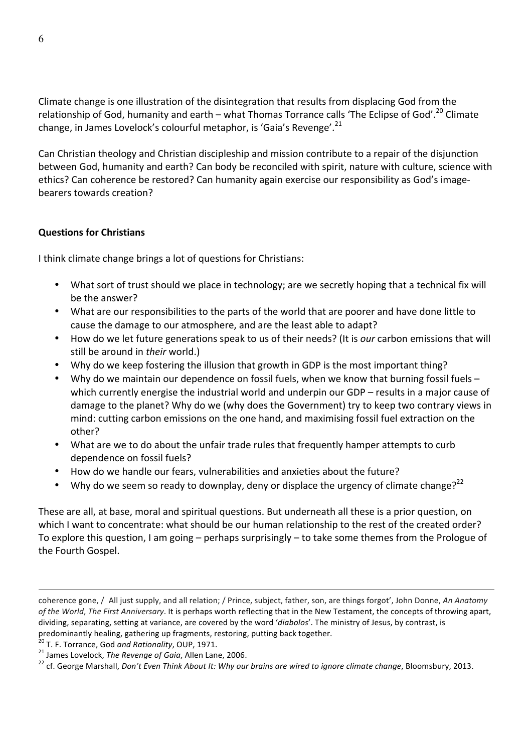Climate change is one illustration of the disintegration that results from displacing God from the relationship of God, humanity and earth – what Thomas Torrance calls 'The Eclipse of God'.<sup>20</sup> Climate change, in James Lovelock's colourful metaphor, is 'Gaia's Revenge'.<sup>21</sup>

Can Christian theology and Christian discipleship and mission contribute to a repair of the disjunction between God, humanity and earth? Can body be reconciled with spirit, nature with culture, science with ethics? Can coherence be restored? Can humanity again exercise our responsibility as God's imagebearers towards creation?

### **Questions for Christians**

I think climate change brings a lot of questions for Christians:

- What sort of trust should we place in technology; are we secretly hoping that a technical fix will be the answer?
- What are our responsibilities to the parts of the world that are poorer and have done little to cause the damage to our atmosphere, and are the least able to adapt?
- How do we let future generations speak to us of their needs? (It is *our* carbon emissions that will still be around in *their* world.)
- Why do we keep fostering the illusion that growth in GDP is the most important thing?
- Why do we maintain our dependence on fossil fuels, when we know that burning fossil fuels which currently energise the industrial world and underpin our  $GDP -$  results in a major cause of damage to the planet? Why do we (why does the Government) try to keep two contrary views in mind: cutting carbon emissions on the one hand, and maximising fossil fuel extraction on the other?
- What are we to do about the unfair trade rules that frequently hamper attempts to curb dependence on fossil fuels?
- How do we handle our fears, vulnerabilities and anxieties about the future?
- Why do we seem so ready to downplay, deny or displace the urgency of climate change?<sup>22</sup>

These are all, at base, moral and spiritual questions. But underneath all these is a prior question, on which I want to concentrate: what should be our human relationship to the rest of the created order? To explore this question, I am going – perhaps surprisingly – to take some themes from the Prologue of the Fourth Gospel.

 $\overline{a}$ 

coherence gone, / All just supply, and all relation; / Prince, subject, father, son, are things forgot', John Donne, *An Anatomy* of the World, The First Anniversary. It is perhaps worth reflecting that in the New Testament, the concepts of throwing apart, dividing, separating, setting at variance, are covered by the word 'diabolos'. The ministry of Jesus, by contrast, is predominantly healing, gathering up fragments, restoring, putting back together.<br><sup>20</sup> T. F. Torrance, God *and Rationality*, OUP, 1971.

<sup>21</sup> James Lovelock, The Revenge of Gaia, Allen Lane, 2006.<br><sup>21</sup> James Lovelock, The Revenge of Gaia, Allen Lane, 2006.<br><sup>22</sup> cf. George Marshall, Don't Even Think About It: Why our brains are wired to ignore climate change,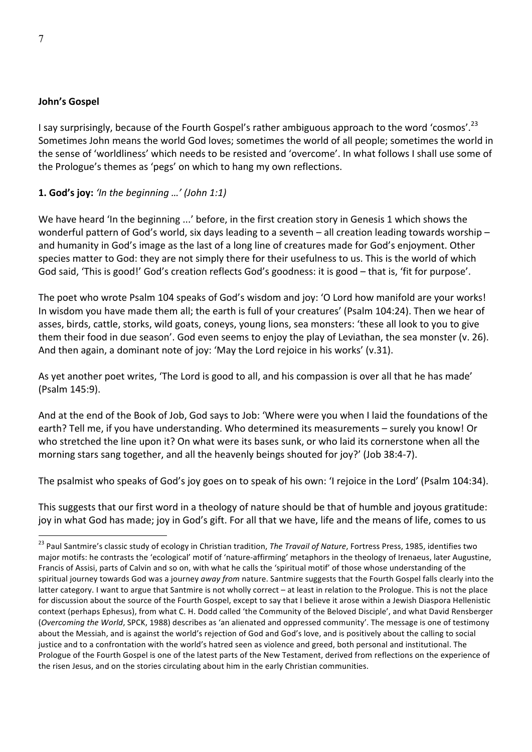#### **John's Gospel**

I say surprisingly, because of the Fourth Gospel's rather ambiguous approach to the word 'cosmos'.<sup>23</sup> Sometimes John means the world God loves; sometimes the world of all people; sometimes the world in the sense of 'worldliness' which needs to be resisted and 'overcome'. In what follows I shall use some of the Prologue's themes as 'pegs' on which to hang my own reflections.

#### **1. God's joy:** 'In the beginning *...'* (John 1:1)

We have heard 'In the beginning ...' before, in the first creation story in Genesis 1 which shows the wonderful pattern of God's world, six days leading to a seventh  $-$  all creation leading towards worship  $$ and humanity in God's image as the last of a long line of creatures made for God's enjoyment. Other species matter to God: they are not simply there for their usefulness to us. This is the world of which God said, 'This is good!' God's creation reflects God's goodness: it is good - that is, 'fit for purpose'.

The poet who wrote Psalm 104 speaks of God's wisdom and joy: 'O Lord how manifold are your works! In wisdom you have made them all; the earth is full of your creatures' (Psalm 104:24). Then we hear of asses, birds, cattle, storks, wild goats, coneys, young lions, sea monsters: 'these all look to you to give them their food in due season'. God even seems to enjoy the play of Leviathan, the sea monster (v. 26). And then again, a dominant note of joy: 'May the Lord rejoice in his works' (v.31).

As yet another poet writes, 'The Lord is good to all, and his compassion is over all that he has made' (Psalm 145:9).

And at the end of the Book of Job, God says to Job: 'Where were you when I laid the foundations of the earth? Tell me, if you have understanding. Who determined its measurements - surely you know! Or who stretched the line upon it? On what were its bases sunk, or who laid its cornerstone when all the morning stars sang together, and all the heavenly beings shouted for joy?' (Job 38:4-7).

The psalmist who speaks of God's joy goes on to speak of his own: 'I rejoice in the Lord' (Psalm 104:34).

This suggests that our first word in a theology of nature should be that of humble and joyous gratitude: joy in what God has made; joy in God's gift. For all that we have, life and the means of life, comes to us

<sup>&</sup>lt;sup>23</sup> Paul Santmire's classic study of ecology in Christian tradition, *The Travail of Nature*, Fortress Press, 1985, identifies two major motifs: he contrasts the 'ecological' motif of 'nature-affirming' metaphors in the theology of Irenaeus, later Augustine, Francis of Assisi, parts of Calvin and so on, with what he calls the 'spiritual motif' of those whose understanding of the spiritual journey towards God was a journey *away from* nature. Santmire suggests that the Fourth Gospel falls clearly into the latter category. I want to argue that Santmire is not wholly correct - at least in relation to the Prologue. This is not the place for discussion about the source of the Fourth Gospel, except to say that I believe it arose within a Jewish Diaspora Hellenistic context (perhaps Ephesus), from what C. H. Dodd called 'the Community of the Beloved Disciple', and what David Rensberger (Overcoming the World, SPCK, 1988) describes as 'an alienated and oppressed community'. The message is one of testimony about the Messiah, and is against the world's rejection of God and God's love, and is positively about the calling to social justice and to a confrontation with the world's hatred seen as violence and greed, both personal and institutional. The Prologue of the Fourth Gospel is one of the latest parts of the New Testament, derived from reflections on the experience of the risen Jesus, and on the stories circulating about him in the early Christian communities.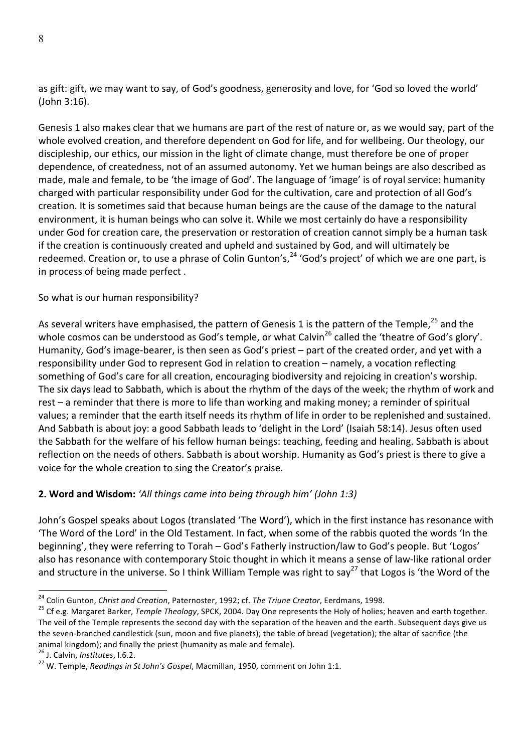as gift: gift, we may want to say, of God's goodness, generosity and love, for 'God so loved the world' (John 3:16).

Genesis 1 also makes clear that we humans are part of the rest of nature or, as we would say, part of the whole evolved creation, and therefore dependent on God for life, and for wellbeing. Our theology, our discipleship, our ethics, our mission in the light of climate change, must therefore be one of proper dependence, of createdness, not of an assumed autonomy. Yet we human beings are also described as made, male and female, to be 'the image of God'. The language of 'image' is of royal service: humanity charged with particular responsibility under God for the cultivation, care and protection of all God's creation. It is sometimes said that because human beings are the cause of the damage to the natural environment, it is human beings who can solve it. While we most certainly do have a responsibility under God for creation care, the preservation or restoration of creation cannot simply be a human task if the creation is continuously created and upheld and sustained by God, and will ultimately be redeemed. Creation or, to use a phrase of Colin Gunton's,<sup>24</sup> 'God's project' of which we are one part, is in process of being made perfect.

### So what is our human responsibility?

As several writers have emphasised, the pattern of Genesis 1 is the pattern of the Temple,<sup>25</sup> and the whole cosmos can be understood as God's temple, or what Calvin<sup>26</sup> called the 'theatre of God's glory'. Humanity, God's image-bearer, is then seen as God's priest - part of the created order, and yet with a responsibility under God to represent God in relation to creation – namely, a vocation reflecting something of God's care for all creation, encouraging biodiversity and rejoicing in creation's worship. The six days lead to Sabbath, which is about the rhythm of the days of the week; the rhythm of work and rest – a reminder that there is more to life than working and making money; a reminder of spiritual values; a reminder that the earth itself needs its rhythm of life in order to be replenished and sustained. And Sabbath is about joy: a good Sabbath leads to 'delight in the Lord' (Isaiah 58:14). Jesus often used the Sabbath for the welfare of his fellow human beings: teaching, feeding and healing. Sabbath is about reflection on the needs of others. Sabbath is about worship. Humanity as God's priest is there to give a voice for the whole creation to sing the Creator's praise.

# **2. Word and Wisdom:** 'All things came into being through him' (John 1:3)

John's Gospel speaks about Logos (translated 'The Word'), which in the first instance has resonance with 'The Word of the Lord' in the Old Testament. In fact, when some of the rabbis quoted the words 'In the beginning', they were referring to Torah – God's Fatherly instruction/law to God's people. But 'Logos' also has resonance with contemporary Stoic thought in which it means a sense of law-like rational order and structure in the universe. So I think William Temple was right to say<sup>27</sup> that Logos is 'the Word of the

<sup>&</sup>lt;sup>24</sup> Colin Gunton, *Christ and Creation*, Paternoster, 1992; cf. *The Triune Creator*, Eerdmans, 1998.<br><sup>25</sup> Cf e.g. Margaret Barker, *Temple Theology*, SPCK, 2004. Day One represents the Holy of holies; heaven and earth t The veil of the Temple represents the second day with the separation of the heaven and the earth. Subsequent days give us the seven-branched candlestick (sun, moon and five planets); the table of bread (vegetation); the altar of sacrifice (the animal kingdom); and finally the priest (humanity as male and female).<br><sup>26</sup> J. Calvin, *Institutes*, I.6.2. 27 W. Temple, *Readings in St John's Gospel*, Macmillan, 1950, comment on John 1:1.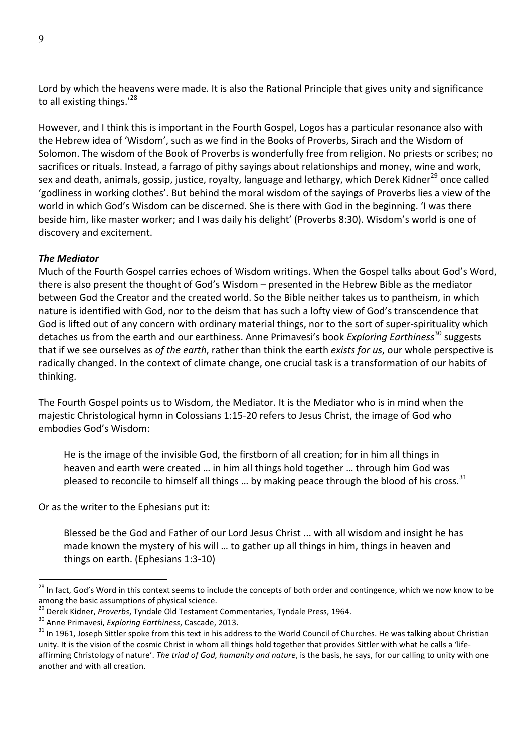Lord by which the heavens were made. It is also the Rational Principle that gives unity and significance to all existing things.'<sup>28</sup>

However, and I think this is important in the Fourth Gospel, Logos has a particular resonance also with the Hebrew idea of 'Wisdom', such as we find in the Books of Proverbs, Sirach and the Wisdom of Solomon. The wisdom of the Book of Proverbs is wonderfully free from religion. No priests or scribes; no sacrifices or rituals. Instead, a farrago of pithy sayings about relationships and money, wine and work, sex and death, animals, gossip, justice, royalty, language and lethargy, which Derek Kidner<sup>29</sup> once called 'godliness in working clothes'. But behind the moral wisdom of the savings of Proverbs lies a view of the world in which God's Wisdom can be discerned. She is there with God in the beginning. 'I was there beside him, like master worker; and I was daily his delight' (Proverbs 8:30). Wisdom's world is one of discovery and excitement.

#### *The Mediator*

Much of the Fourth Gospel carries echoes of Wisdom writings. When the Gospel talks about God's Word, there is also present the thought of God's Wisdom – presented in the Hebrew Bible as the mediator between God the Creator and the created world. So the Bible neither takes us to pantheism, in which nature is identified with God, nor to the deism that has such a lofty view of God's transcendence that God is lifted out of any concern with ordinary material things, nor to the sort of super-spirituality which detaches us from the earth and our earthiness. Anne Primavesi's book *Exploring Earthiness*<sup>30</sup> suggests that if we see ourselves as of the earth, rather than think the earth exists for us, our whole perspective is radically changed. In the context of climate change, one crucial task is a transformation of our habits of thinking.

The Fourth Gospel points us to Wisdom, the Mediator. It is the Mediator who is in mind when the majestic Christological hymn in Colossians 1:15-20 refers to Jesus Christ, the image of God who embodies God's Wisdom:

He is the image of the invisible God, the firstborn of all creation; for in him all things in heaven and earth were created ... in him all things hold together ... through him God was pleased to reconcile to himself all things ... by making peace through the blood of his cross.<sup>31</sup>

Or as the writer to the Ephesians put it:

Blessed be the God and Father of our Lord Jesus Christ ... with all wisdom and insight he has made known the mystery of his will ... to gather up all things in him, things in heaven and things on earth. (Ephesians 1:3-10)

<sup>&</sup>lt;sup>28</sup> In fact, God's Word in this context seems to include the concepts of both order and contingence, which we now know to be among the basic assumptions of physical science.<br>
<sup>29</sup> Derek Kidner, *Proverbs*, Tyndale Old Testament Commentaries, Tyndale Press, 1964.

 $30$  Anne Primavesi, Exploring Earthiness, Cascade, 2013.<br> $31$  In 1961, Joseph Sittler spoke from this text in his address to the World Council of Churches. He was talking about Christian unity. It is the vision of the cosmic Christ in whom all things hold together that provides Sittler with what he calls a 'lifeaffirming Christology of nature'. The triad of God, humanity and nature, is the basis, he says, for our calling to unity with one another and with all creation.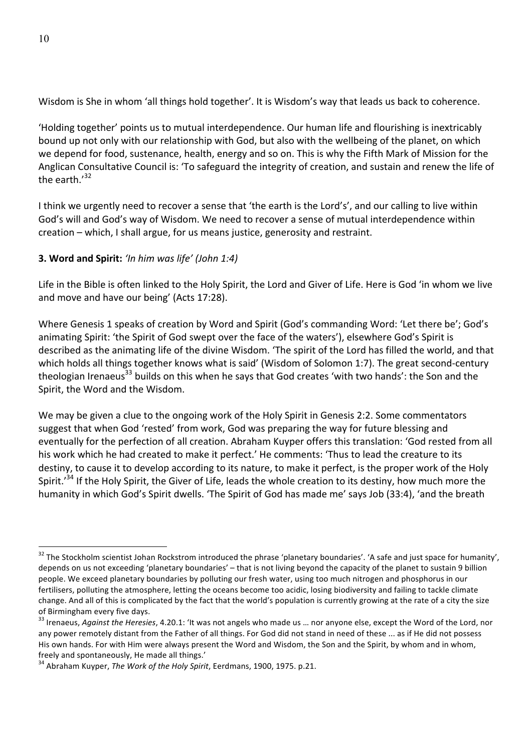Wisdom is She in whom 'all things hold together'. It is Wisdom's way that leads us back to coherence.

'Holding together' points us to mutual interdependence. Our human life and flourishing is inextricably bound up not only with our relationship with God, but also with the wellbeing of the planet, on which we depend for food, sustenance, health, energy and so on. This is why the Fifth Mark of Mission for the Anglican Consultative Council is: 'To safeguard the integrity of creation, and sustain and renew the life of the earth. $132$ 

I think we urgently need to recover a sense that 'the earth is the Lord's', and our calling to live within God's will and God's way of Wisdom. We need to recover a sense of mutual interdependence within creation – which, I shall argue, for us means justice, generosity and restraint.

### **3. Word and Spirit:** *'In him was life' (John 1:4)*

Life in the Bible is often linked to the Holy Spirit, the Lord and Giver of Life. Here is God 'in whom we live and move and have our being' (Acts 17:28).

Where Genesis 1 speaks of creation by Word and Spirit (God's commanding Word: 'Let there be'; God's animating Spirit: 'the Spirit of God swept over the face of the waters'), elsewhere God's Spirit is described as the animating life of the divine Wisdom. 'The spirit of the Lord has filled the world, and that which holds all things together knows what is said' (Wisdom of Solomon 1:7). The great second-century theologian Irenaeus<sup>33</sup> builds on this when he says that God creates 'with two hands': the Son and the Spirit, the Word and the Wisdom.

We may be given a clue to the ongoing work of the Holy Spirit in Genesis 2:2. Some commentators suggest that when God 'rested' from work, God was preparing the way for future blessing and eventually for the perfection of all creation. Abraham Kuyper offers this translation: 'God rested from all his work which he had created to make it perfect.' He comments: 'Thus to lead the creature to its destiny, to cause it to develop according to its nature, to make it perfect, is the proper work of the Holy Spirit.'<sup>34</sup> If the Holy Spirit, the Giver of Life, leads the whole creation to its destiny, how much more the humanity in which God's Spirit dwells. 'The Spirit of God has made me' says Job (33:4), 'and the breath

 $32$  The Stockholm scientist Johan Rockstrom introduced the phrase 'planetary boundaries'. 'A safe and just space for humanity', depends on us not exceeding 'planetary boundaries' - that is not living beyond the capacity of the planet to sustain 9 billion people. We exceed planetary boundaries by polluting our fresh water, using too much nitrogen and phosphorus in our fertilisers, polluting the atmosphere, letting the oceans become too acidic, losing biodiversity and failing to tackle climate change. And all of this is complicated by the fact that the world's population is currently growing at the rate of a city the size of Birmingham every five days.

<sup>&</sup>lt;sup>33</sup> Irenaeus, *Against the Heresies*, 4.20.1: 'It was not angels who made us ... nor anyone else, except the Word of the Lord, nor any power remotely distant from the Father of all things. For God did not stand in need of these ... as if He did not possess His own hands. For with Him were always present the Word and Wisdom, the Son and the Spirit, by whom and in whom, freely and spontaneously, He made all things.'

<sup>&</sup>lt;sup>34</sup> Abraham Kuyper, *The Work of the Holy Spirit*, Eerdmans, 1900, 1975. p.21.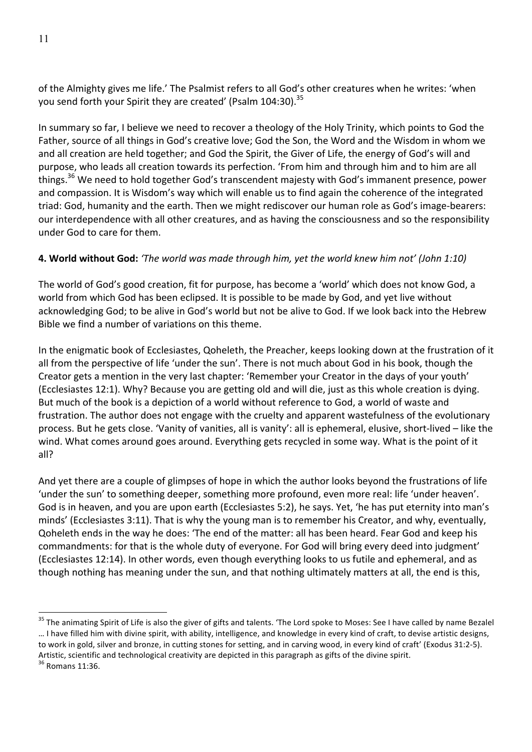of the Almighty gives me life.' The Psalmist refers to all God's other creatures when he writes: 'when you send forth your Spirit they are created' (Psalm 104:30).<sup>35</sup>

In summary so far, I believe we need to recover a theology of the Holy Trinity, which points to God the Father, source of all things in God's creative love; God the Son, the Word and the Wisdom in whom we and all creation are held together; and God the Spirit, the Giver of Life, the energy of God's will and purpose, who leads all creation towards its perfection. 'From him and through him and to him are all things.<sup>36</sup> We need to hold together God's transcendent majesty with God's immanent presence, power and compassion. It is Wisdom's way which will enable us to find again the coherence of the integrated triad: God, humanity and the earth. Then we might rediscover our human role as God's image-bearers: our interdependence with all other creatures, and as having the consciousness and so the responsibility under God to care for them.

# **4. World without God:** 'The world was made through him, yet the world knew him not' (John 1:10)

The world of God's good creation, fit for purpose, has become a 'world' which does not know God, a world from which God has been eclipsed. It is possible to be made by God, and yet live without acknowledging God; to be alive in God's world but not be alive to God. If we look back into the Hebrew Bible we find a number of variations on this theme.

In the enigmatic book of Ecclesiastes, Qoheleth, the Preacher, keeps looking down at the frustration of it all from the perspective of life 'under the sun'. There is not much about God in his book, though the Creator gets a mention in the very last chapter: 'Remember your Creator in the days of your youth' (Ecclesiastes 12:1). Why? Because you are getting old and will die, just as this whole creation is dying. But much of the book is a depiction of a world without reference to God, a world of waste and frustration. The author does not engage with the cruelty and apparent wastefulness of the evolutionary process. But he gets close. 'Vanity of vanities, all is vanity': all is ephemeral, elusive, short-lived – like the wind. What comes around goes around. Everything gets recycled in some way. What is the point of it all?

And yet there are a couple of glimpses of hope in which the author looks beyond the frustrations of life 'under the sun' to something deeper, something more profound, even more real: life 'under heaven'. God is in heaven, and you are upon earth (Ecclesiastes 5:2), he says. Yet, 'he has put eternity into man's minds' (Ecclesiastes 3:11). That is why the young man is to remember his Creator, and why, eventually, Qoheleth ends in the way he does: 'The end of the matter: all has been heard. Fear God and keep his commandments: for that is the whole duty of everyone. For God will bring every deed into judgment' (Ecclesiastes 12:14). In other words, even though everything looks to us futile and ephemeral, and as though nothing has meaning under the sun, and that nothing ultimately matters at all, the end is this,

<sup>&</sup>lt;sup>35</sup> The animating Spirit of Life is also the giver of gifts and talents. 'The Lord spoke to Moses: See I have called by name Bezalel ... I have filled him with divine spirit, with ability, intelligence, and knowledge in every kind of craft, to devise artistic designs, to work in gold, silver and bronze, in cutting stones for setting, and in carving wood, in every kind of craft' (Exodus 31:2-5). Artistic, scientific and technological creativity are depicted in this paragraph as gifts of the divine spirit.  $36$  Romans 11:36.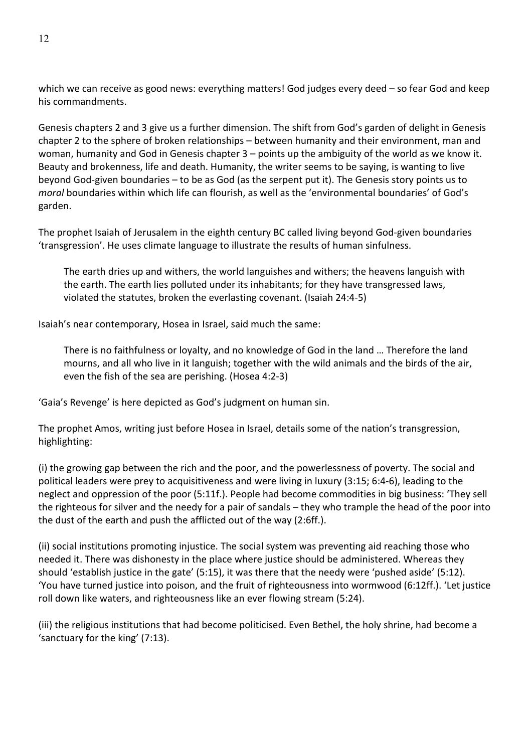which we can receive as good news: everything matters! God judges every deed – so fear God and keep his commandments.

Genesis chapters 2 and 3 give us a further dimension. The shift from God's garden of delight in Genesis chapter 2 to the sphere of broken relationships - between humanity and their environment, man and woman, humanity and God in Genesis chapter  $3$  – points up the ambiguity of the world as we know it. Beauty and brokenness, life and death. Humanity, the writer seems to be saying, is wanting to live beyond God-given boundaries – to be as God (as the serpent put it). The Genesis story points us to *moral* boundaries within which life can flourish, as well as the 'environmental boundaries' of God's garden.

The prophet Isaiah of Jerusalem in the eighth century BC called living beyond God-given boundaries 'transgression'. He uses climate language to illustrate the results of human sinfulness.

The earth dries up and withers, the world languishes and withers; the heavens languish with the earth. The earth lies polluted under its inhabitants; for they have transgressed laws, violated the statutes, broken the everlasting covenant. (Isaiah 24:4-5)

Isaiah's near contemporary, Hosea in Israel, said much the same:

There is no faithfulness or loyalty, and no knowledge of God in the land ... Therefore the land mourns, and all who live in it languish; together with the wild animals and the birds of the air, even the fish of the sea are perishing. (Hosea 4:2-3)

'Gaia's Revenge' is here depicted as God's judgment on human sin.

The prophet Amos, writing just before Hosea in Israel, details some of the nation's transgression, highlighting:

(i) the growing gap between the rich and the poor, and the powerlessness of poverty. The social and political leaders were prey to acquisitiveness and were living in luxury (3:15; 6:4-6), leading to the neglect and oppression of the poor (5:11f.). People had become commodities in big business: 'They sell the righteous for silver and the needy for a pair of sandals – they who trample the head of the poor into the dust of the earth and push the afflicted out of the way (2:6ff.).

(ii) social institutions promoting injustice. The social system was preventing aid reaching those who needed it. There was dishonesty in the place where justice should be administered. Whereas they should 'establish justice in the gate' (5:15), it was there that the needy were 'pushed aside' (5:12). 'You have turned justice into poison, and the fruit of righteousness into wormwood (6:12ff.). 'Let justice roll down like waters, and righteousness like an ever flowing stream (5:24).

(iii) the religious institutions that had become politicised. Even Bethel, the holy shrine, had become a 'sanctuary for the king' (7:13).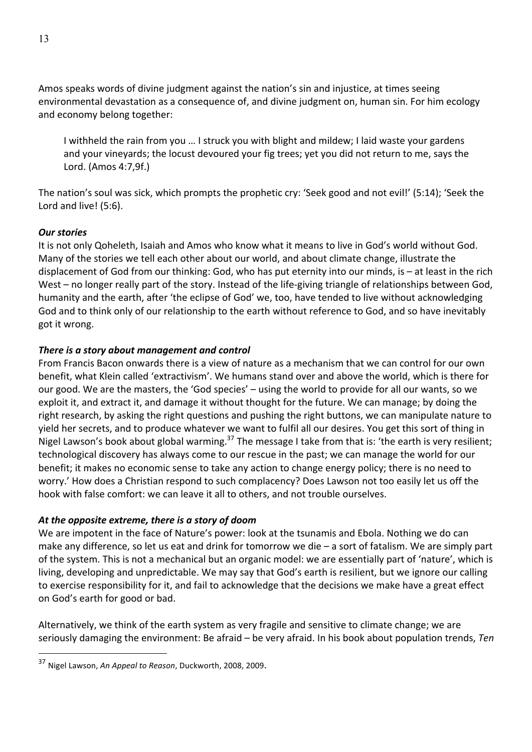Amos speaks words of divine judgment against the nation's sin and injustice, at times seeing environmental devastation as a consequence of, and divine judgment on, human sin. For him ecology and economy belong together:

I withheld the rain from you ... I struck you with blight and mildew; I laid waste your gardens and your vineyards; the locust devoured your fig trees; yet you did not return to me, says the Lord. (Amos 4:7,9f.)

The nation's soul was sick, which prompts the prophetic cry: 'Seek good and not evil!' (5:14); 'Seek the Lord and live! (5:6).

### *Our stories*

 $\overline{a}$ 

It is not only Qoheleth, Isaiah and Amos who know what it means to live in God's world without God. Many of the stories we tell each other about our world, and about climate change, illustrate the displacement of God from our thinking: God, who has put eternity into our minds, is – at least in the rich West – no longer really part of the story. Instead of the life-giving triangle of relationships between God, humanity and the earth, after 'the eclipse of God' we, too, have tended to live without acknowledging God and to think only of our relationship to the earth without reference to God, and so have inevitably got it wrong.

### *There is a story about management and control*

From Francis Bacon onwards there is a view of nature as a mechanism that we can control for our own benefit, what Klein called 'extractivism'. We humans stand over and above the world, which is there for our good. We are the masters, the 'God species' – using the world to provide for all our wants, so we exploit it, and extract it, and damage it without thought for the future. We can manage; by doing the right research, by asking the right questions and pushing the right buttons, we can manipulate nature to yield her secrets, and to produce whatever we want to fulfil all our desires. You get this sort of thing in Nigel Lawson's book about global warming.<sup>37</sup> The message I take from that is: 'the earth is very resilient; technological discovery has always come to our rescue in the past; we can manage the world for our benefit; it makes no economic sense to take any action to change energy policy; there is no need to worry.' How does a Christian respond to such complacency? Does Lawson not too easily let us off the hook with false comfort: we can leave it all to others, and not trouble ourselves.

### At the opposite extreme, there is a story of doom

We are impotent in the face of Nature's power: look at the tsunamis and Ebola. Nothing we do can make any difference, so let us eat and drink for tomorrow we die  $-$  a sort of fatalism. We are simply part of the system. This is not a mechanical but an organic model: we are essentially part of 'nature', which is living, developing and unpredictable. We may say that God's earth is resilient, but we ignore our calling to exercise responsibility for it, and fail to acknowledge that the decisions we make have a great effect on God's earth for good or bad.

Alternatively, we think of the earth system as very fragile and sensitive to climate change; we are seriously damaging the environment: Be afraid – be very afraid. In his book about population trends, *Ten* 

<sup>&</sup>lt;sup>37</sup> Nigel Lawson, *An Appeal to Reason*, Duckworth, 2008, 2009.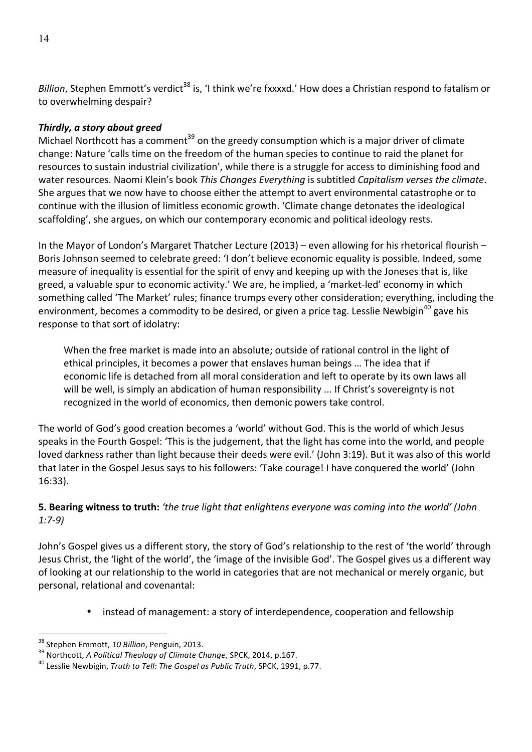*Billion*, Stephen Emmott's verdict<sup>38</sup> is, 'I think we're fxxxxd.' How does a Christian respond to fatalism or to overwhelming despair?

## *Thirdly, a story about greed*

Michael Northcott has a comment<sup>39</sup> on the greedy consumption which is a major driver of climate change: Nature 'calls time on the freedom of the human species to continue to raid the planet for resources to sustain industrial civilization', while there is a struggle for access to diminishing food and water resources. Naomi Klein's book This Changes Everything is subtitled Capitalism verses the climate. She argues that we now have to choose either the attempt to avert environmental catastrophe or to continue with the illusion of limitless economic growth. 'Climate change detonates the ideological scaffolding', she argues, on which our contemporary economic and political ideology rests.

In the Mayor of London's Margaret Thatcher Lecture  $(2013)$  – even allowing for his rhetorical flourish – Boris Johnson seemed to celebrate greed: 'I don't believe economic equality is possible. Indeed, some measure of inequality is essential for the spirit of envy and keeping up with the Joneses that is, like greed, a valuable spur to economic activity.' We are, he implied, a 'market-led' economy in which something called 'The Market' rules; finance trumps every other consideration; everything, including the environment, becomes a commodity to be desired, or given a price tag. Lesslie Newbigin<sup>40</sup> gave his response to that sort of idolatry:

When the free market is made into an absolute; outside of rational control in the light of ethical principles, it becomes a power that enslaves human beings ... The idea that if economic life is detached from all moral consideration and left to operate by its own laws all will be well, is simply an abdication of human responsibility ... If Christ's sovereignty is not recognized in the world of economics, then demonic powers take control.

The world of God's good creation becomes a 'world' without God. This is the world of which Jesus speaks in the Fourth Gospel: 'This is the judgement, that the light has come into the world, and people loved darkness rather than light because their deeds were evil.' (John 3:19). But it was also of this world that later in the Gospel Jesus says to his followers: 'Take courage! I have conquered the world' (John 16:33).

# **5. Bearing witness to truth:** 'the true light that enlightens everyone was coming into the world' (John *1:7-9)*

John's Gospel gives us a different story, the story of God's relationship to the rest of 'the world' through Jesus Christ, the 'light of the world', the 'image of the invisible God'. The Gospel gives us a different way of looking at our relationship to the world in categories that are not mechanical or merely organic, but personal, relational and covenantal:

• instead of management: a story of interdependence, cooperation and fellowship

<sup>&</sup>lt;sup>38</sup> Stephen Emmott, *10 Billion*, Penguin, 2013.<br><sup>39</sup> Northcott, *A Political Theology of Climate Change*, SPCK, 2014, p.167. 40 Lesslie Newbigin, *Truth* to *Tell: The Gospel as Public Truth*, SPCK, 1991, p.77.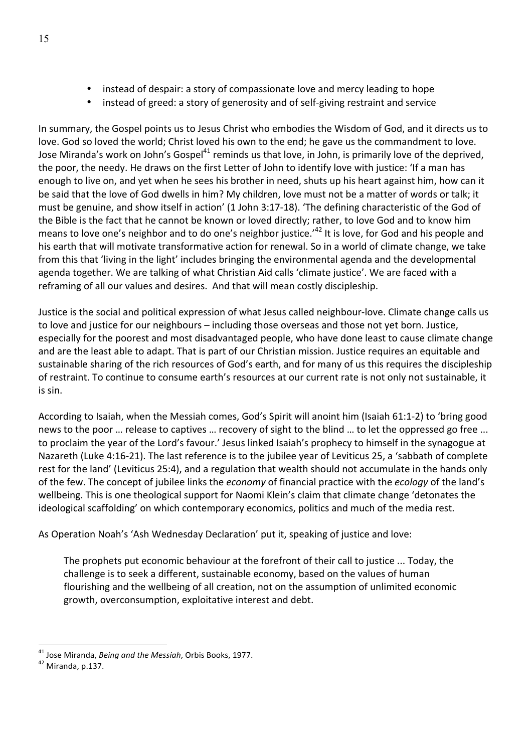- instead of despair: a story of compassionate love and mercy leading to hope
- instead of greed: a story of generosity and of self-giving restraint and service

In summary, the Gospel points us to Jesus Christ who embodies the Wisdom of God, and it directs us to love. God so loved the world; Christ loved his own to the end; he gave us the commandment to love. Jose Miranda's work on John's Gospel<sup>41</sup> reminds us that love, in John, is primarily love of the deprived, the poor, the needy. He draws on the first Letter of John to identify love with justice: 'If a man has enough to live on, and yet when he sees his brother in need, shuts up his heart against him, how can it be said that the love of God dwells in him? My children, love must not be a matter of words or talk; it must be genuine, and show itself in action' (1 John 3:17-18). 'The defining characteristic of the God of the Bible is the fact that he cannot be known or loved directly; rather, to love God and to know him means to love one's neighbor and to do one's neighbor justice.'<sup>42</sup> It is love, for God and his people and his earth that will motivate transformative action for renewal. So in a world of climate change, we take from this that 'living in the light' includes bringing the environmental agenda and the developmental agenda together. We are talking of what Christian Aid calls 'climate justice'. We are faced with a reframing of all our values and desires. And that will mean costly discipleship.

Justice is the social and political expression of what Jesus called neighbour-love. Climate change calls us to love and justice for our neighbours – including those overseas and those not yet born. Justice, especially for the poorest and most disadvantaged people, who have done least to cause climate change and are the least able to adapt. That is part of our Christian mission. Justice requires an equitable and sustainable sharing of the rich resources of God's earth, and for many of us this requires the discipleship of restraint. To continue to consume earth's resources at our current rate is not only not sustainable, it is sin.

According to Isaiah, when the Messiah comes, God's Spirit will anoint him (Isaiah 61:1-2) to 'bring good news to the poor ... release to captives ... recovery of sight to the blind ... to let the oppressed go free ... to proclaim the year of the Lord's favour.' Jesus linked Isaiah's prophecy to himself in the synagogue at Nazareth (Luke 4:16-21). The last reference is to the jubilee year of Leviticus 25, a 'sabbath of complete rest for the land' (Leviticus 25:4), and a regulation that wealth should not accumulate in the hands only of the few. The concept of jubilee links the *economy* of financial practice with the *ecology* of the land's wellbeing. This is one theological support for Naomi Klein's claim that climate change 'detonates the ideological scaffolding' on which contemporary economics, politics and much of the media rest.

As Operation Noah's 'Ash Wednesday Declaration' put it, speaking of justice and love:

The prophets put economic behaviour at the forefront of their call to justice ... Today, the challenge is to seek a different, sustainable economy, based on the values of human flourishing and the wellbeing of all creation, not on the assumption of unlimited economic growth, overconsumption, exploitative interest and debt.

<sup>&</sup>lt;sup>41</sup> Jose Miranda, *Being and the Messiah*, Orbis Books, 1977.<br><sup>42</sup> Miranda. p.137.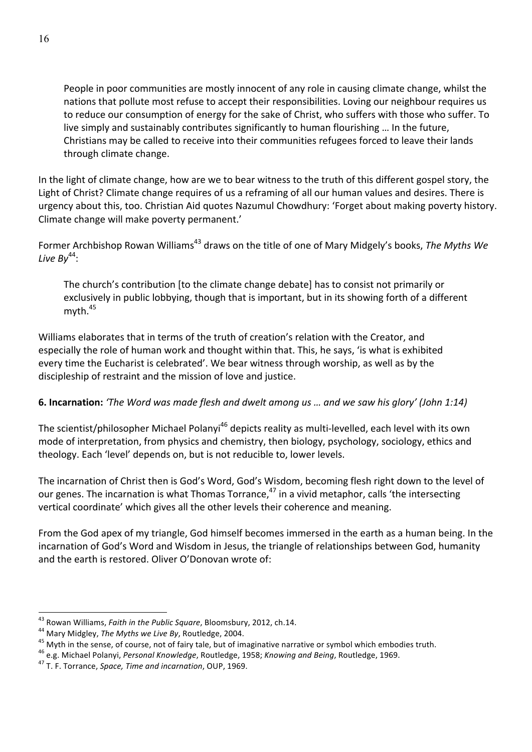People in poor communities are mostly innocent of any role in causing climate change, whilst the nations that pollute most refuse to accept their responsibilities. Loving our neighbour requires us to reduce our consumption of energy for the sake of Christ, who suffers with those who suffer. To live simply and sustainably contributes significantly to human flourishing ... In the future, Christians may be called to receive into their communities refugees forced to leave their lands through climate change.

In the light of climate change, how are we to bear witness to the truth of this different gospel story, the Light of Christ? Climate change requires of us a reframing of all our human values and desires. There is urgency about this, too. Christian Aid quotes Nazumul Chowdhury: 'Forget about making poverty history. Climate change will make poverty permanent.'

Former Archbishop Rowan Williams<sup>43</sup> draws on the title of one of Mary Midgely's books, *The Myths We* Live By<sup>44</sup>:

The church's contribution [to the climate change debate] has to consist not primarily or exclusively in public lobbying, though that is important, but in its showing forth of a different myth. 45

Williams elaborates that in terms of the truth of creation's relation with the Creator, and especially the role of human work and thought within that. This, he says, 'is what is exhibited every time the Eucharist is celebrated'. We bear witness through worship, as well as by the discipleship of restraint and the mission of love and justice.

# **6. Incarnation:** *'The Word was made flesh and dwelt among us ... and we saw his glory' (John 1:14)*

The scientist/philosopher Michael Polanyi<sup>46</sup> depicts reality as multi-levelled, each level with its own mode of interpretation, from physics and chemistry, then biology, psychology, sociology, ethics and theology. Each 'level' depends on, but is not reducible to, lower levels.

The incarnation of Christ then is God's Word, God's Wisdom, becoming flesh right down to the level of our genes. The incarnation is what Thomas Torrance,<sup>47</sup> in a vivid metaphor, calls 'the intersecting vertical coordinate' which gives all the other levels their coherence and meaning.

From the God apex of my triangle, God himself becomes immersed in the earth as a human being. In the incarnation of God's Word and Wisdom in Jesus, the triangle of relationships between God, humanity and the earth is restored. Oliver O'Donovan wrote of:

<sup>&</sup>lt;sup>43</sup> Rowan Williams, *Faith in the Public Square*, Bloomsbury, 2012, ch.14.<br><sup>44</sup> Mary Midgley, *The Myths we Live By*, Routledge, 2004.<br><sup>45</sup> Myth in the sense, of course, not of fairy tale, but of imaginative narrative or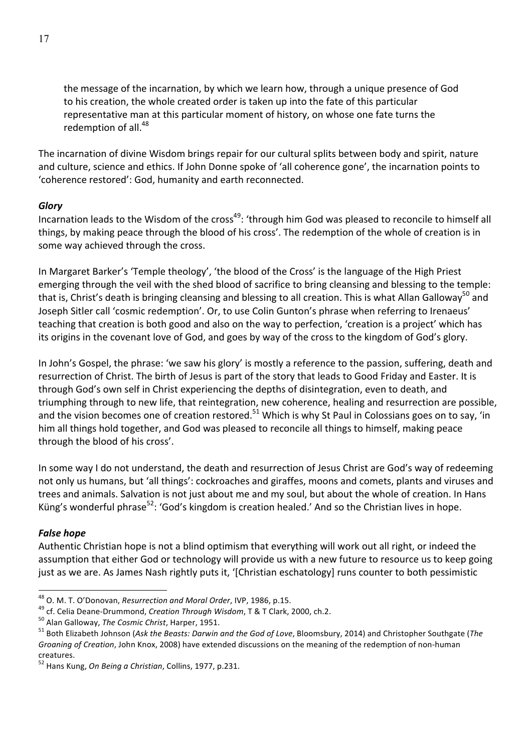the message of the incarnation, by which we learn how, through a unique presence of God to his creation, the whole created order is taken up into the fate of this particular representative man at this particular moment of history, on whose one fate turns the redemption of all.<sup>48</sup>

The incarnation of divine Wisdom brings repair for our cultural splits between body and spirit, nature and culture, science and ethics. If John Donne spoke of 'all coherence gone', the incarnation points to 'coherence restored': God, humanity and earth reconnected.

#### *Glory*

Incarnation leads to the Wisdom of the cross<sup>49</sup>: 'through him God was pleased to reconcile to himself all things, by making peace through the blood of his cross'. The redemption of the whole of creation is in some way achieved through the cross.

In Margaret Barker's 'Temple theology', 'the blood of the Cross' is the language of the High Priest emerging through the veil with the shed blood of sacrifice to bring cleansing and blessing to the temple: that is, Christ's death is bringing cleansing and blessing to all creation. This is what Allan Gallowav<sup>50</sup> and Joseph Sitler call 'cosmic redemption'. Or, to use Colin Gunton's phrase when referring to Irenaeus' teaching that creation is both good and also on the way to perfection, 'creation is a project' which has its origins in the covenant love of God, and goes by way of the cross to the kingdom of God's glory.

In John's Gospel, the phrase: 'we saw his glory' is mostly a reference to the passion, suffering, death and resurrection of Christ. The birth of Jesus is part of the story that leads to Good Friday and Easter. It is through God's own self in Christ experiencing the depths of disintegration, even to death, and triumphing through to new life, that reintegration, new coherence, healing and resurrection are possible, and the vision becomes one of creation restored.<sup>51</sup> Which is why St Paul in Colossians goes on to say, 'in him all things hold together, and God was pleased to reconcile all things to himself, making peace through the blood of his cross'.

In some way I do not understand, the death and resurrection of Jesus Christ are God's way of redeeming not only us humans, but 'all things': cockroaches and giraffes, moons and comets, plants and viruses and trees and animals. Salvation is not just about me and my soul, but about the whole of creation. In Hans Küng's wonderful phrase<sup>52</sup>: 'God's kingdom is creation healed.' And so the Christian lives in hope.

### *False hope*

Authentic Christian hope is not a blind optimism that everything will work out all right, or indeed the assumption that either God or technology will provide us with a new future to resource us to keep going just as we are. As James Nash rightly puts it, '[Christian eschatology] runs counter to both pessimistic

<sup>&</sup>lt;sup>48</sup> O. M. T. O'Donovan, *Resurrection and Moral Order*, IVP, 1986, p.15.<br><sup>49</sup> cf. Celia Deane-Drummond, *Creation Through Wisdom*, T & T Clark, 2000, ch.2.<br><sup>50</sup> Alan Galloway, *The Cosmic Christ*, Harper, 1951.<br><sup>51</sup> Both *Groaning of Creation*, John Knox, 2008) have extended discussions on the meaning of the redemption of non-human creatures.

<sup>&</sup>lt;sup>52</sup> Hans Kung, *On Being a Christian*, Collins, 1977, p.231.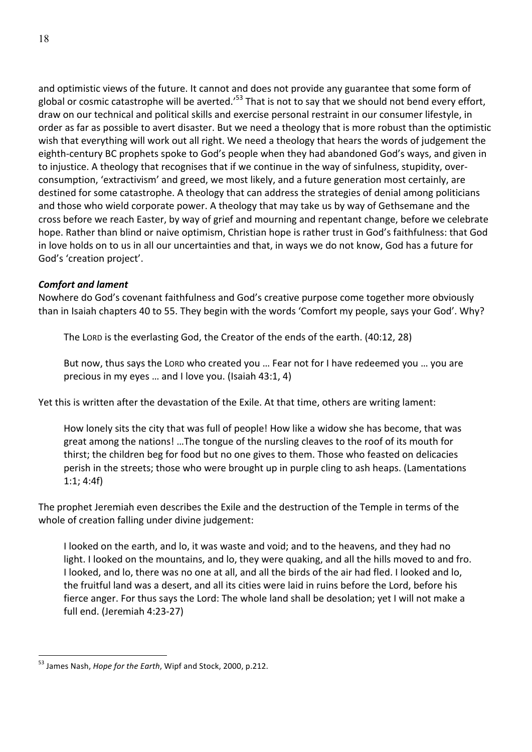and optimistic views of the future. It cannot and does not provide any guarantee that some form of global or cosmic catastrophe will be averted.<sup>'53</sup> That is not to say that we should not bend every effort, draw on our technical and political skills and exercise personal restraint in our consumer lifestyle, in order as far as possible to avert disaster. But we need a theology that is more robust than the optimistic wish that everything will work out all right. We need a theology that hears the words of judgement the eighth-century BC prophets spoke to God's people when they had abandoned God's ways, and given in to injustice. A theology that recognises that if we continue in the way of sinfulness, stupidity, overconsumption, 'extractivism' and greed, we most likely, and a future generation most certainly, are destined for some catastrophe. A theology that can address the strategies of denial among politicians and those who wield corporate power. A theology that may take us by way of Gethsemane and the cross before we reach Easter, by way of grief and mourning and repentant change, before we celebrate hope. Rather than blind or naive optimism, Christian hope is rather trust in God's faithfulness: that God in love holds on to us in all our uncertainties and that, in ways we do not know, God has a future for God's 'creation project'.

### **Comfort and lament**

Nowhere do God's covenant faithfulness and God's creative purpose come together more obviously than in Isaiah chapters 40 to 55. They begin with the words 'Comfort my people, says your God'. Why?

The Lord is the everlasting God, the Creator of the ends of the earth. (40:12, 28)

But now, thus says the Lord who created you ... Fear not for I have redeemed you ... you are precious in my eyes ... and I love you. (Isaiah 43:1, 4)

Yet this is written after the devastation of the Exile. At that time, others are writing lament:

How lonely sits the city that was full of people! How like a widow she has become, that was great among the nations! …The tongue of the nursling cleaves to the roof of its mouth for thirst; the children beg for food but no one gives to them. Those who feasted on delicacies perish in the streets; those who were brought up in purple cling to ash heaps. (Lamentations  $1:1; 4:4f$ 

The prophet Jeremiah even describes the Exile and the destruction of the Temple in terms of the whole of creation falling under divine judgement:

I looked on the earth, and lo, it was waste and void; and to the heavens, and they had no light. I looked on the mountains, and lo, they were quaking, and all the hills moved to and fro. I looked, and lo, there was no one at all, and all the birds of the air had fled. I looked and lo, the fruitful land was a desert, and all its cities were laid in ruins before the Lord, before his fierce anger. For thus says the Lord: The whole land shall be desolation; yet I will not make a full end. (Jeremiah 4:23-27)

<sup>&</sup>lt;sup>53</sup> James Nash, *Hope for the Earth*, Wipf and Stock, 2000, p.212.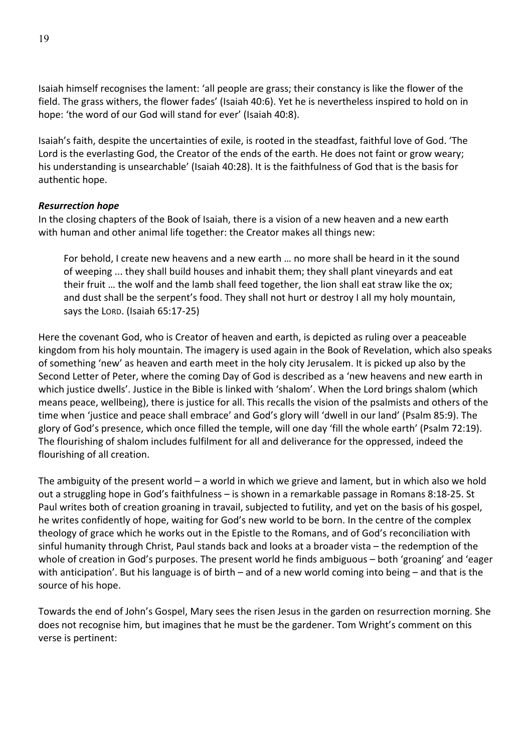Isaiah himself recognises the lament: 'all people are grass; their constancy is like the flower of the field. The grass withers, the flower fades' (Isaiah 40:6). Yet he is nevertheless inspired to hold on in hope: 'the word of our God will stand for ever' (Isaiah 40:8).

Isaiah's faith, despite the uncertainties of exile, is rooted in the steadfast, faithful love of God. 'The Lord is the everlasting God, the Creator of the ends of the earth. He does not faint or grow weary; his understanding is unsearchable' (Isaiah 40:28). It is the faithfulness of God that is the basis for authentic hope.

#### *Resurrection hope*

In the closing chapters of the Book of Isaiah, there is a vision of a new heaven and a new earth with human and other animal life together: the Creator makes all things new:

For behold, I create new heavens and a new earth ... no more shall be heard in it the sound of weeping ... they shall build houses and inhabit them; they shall plant vineyards and eat their fruit ... the wolf and the lamb shall feed together, the lion shall eat straw like the ox; and dust shall be the serpent's food. They shall not hurt or destroy I all my holy mountain, says the Lorp. (Isaiah 65:17-25)

Here the covenant God, who is Creator of heaven and earth, is depicted as ruling over a peaceable kingdom from his holy mountain. The imagery is used again in the Book of Revelation, which also speaks of something 'new' as heaven and earth meet in the holy city Jerusalem. It is picked up also by the Second Letter of Peter, where the coming Day of God is described as a 'new heavens and new earth in which justice dwells'. Justice in the Bible is linked with 'shalom'. When the Lord brings shalom (which means peace, wellbeing), there is justice for all. This recalls the vision of the psalmists and others of the time when 'justice and peace shall embrace' and God's glory will 'dwell in our land' (Psalm 85:9). The glory of God's presence, which once filled the temple, will one day 'fill the whole earth' (Psalm 72:19). The flourishing of shalom includes fulfilment for all and deliverance for the oppressed, indeed the flourishing of all creation.

The ambiguity of the present world – a world in which we grieve and lament, but in which also we hold out a struggling hope in God's faithfulness – is shown in a remarkable passage in Romans 8:18-25. St Paul writes both of creation groaning in travail, subjected to futility, and yet on the basis of his gospel, he writes confidently of hope, waiting for God's new world to be born. In the centre of the complex theology of grace which he works out in the Epistle to the Romans, and of God's reconciliation with sinful humanity through Christ, Paul stands back and looks at a broader vista  $-$  the redemption of the whole of creation in God's purposes. The present world he finds ambiguous - both 'groaning' and 'eager with anticipation'. But his language is of birth – and of a new world coming into being – and that is the source of his hope.

Towards the end of John's Gospel, Mary sees the risen Jesus in the garden on resurrection morning. She does not recognise him, but imagines that he must be the gardener. Tom Wright's comment on this verse is pertinent: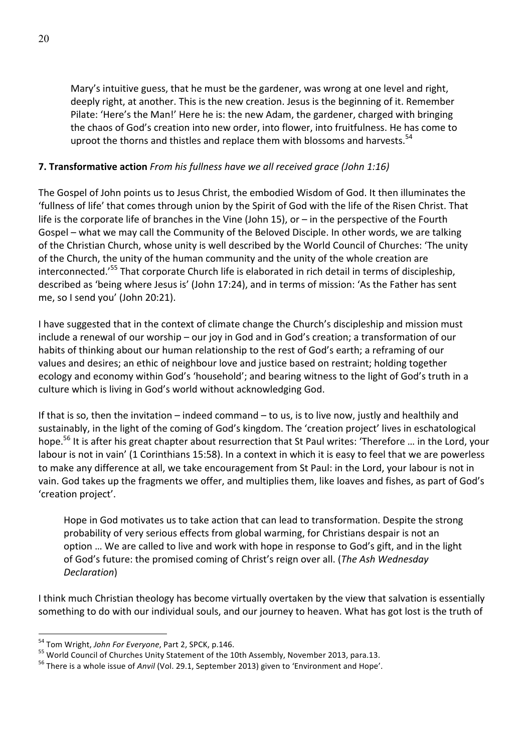Mary's intuitive guess, that he must be the gardener, was wrong at one level and right, deeply right, at another. This is the new creation. Jesus is the beginning of it. Remember Pilate: 'Here's the Man!' Here he is: the new Adam, the gardener, charged with bringing the chaos of God's creation into new order, into flower, into fruitfulness. He has come to uproot the thorns and thistles and replace them with blossoms and harvests.<sup>54</sup>

### **7. Transformative action** *From his fullness have we all received grace (John 1:16)*

The Gospel of John points us to Jesus Christ, the embodied Wisdom of God. It then illuminates the 'fullness of life' that comes through union by the Spirit of God with the life of the Risen Christ. That life is the corporate life of branches in the Vine (John 15), or  $-$  in the perspective of the Fourth Gospel – what we may call the Community of the Beloved Disciple. In other words, we are talking of the Christian Church, whose unity is well described by the World Council of Churches: 'The unity of the Church, the unity of the human community and the unity of the whole creation are interconnected.<sup>'55</sup> That corporate Church life is elaborated in rich detail in terms of discipleship, described as 'being where Jesus is' (John 17:24), and in terms of mission: 'As the Father has sent me, so I send you' (John 20:21).

I have suggested that in the context of climate change the Church's discipleship and mission must include a renewal of our worship – our joy in God and in God's creation; a transformation of our habits of thinking about our human relationship to the rest of God's earth; a reframing of our values and desires; an ethic of neighbour love and justice based on restraint; holding together ecology and economy within God's 'household'; and bearing witness to the light of God's truth in a culture which is living in God's world without acknowledging God.

If that is so, then the invitation – indeed command – to us, is to live now, justly and healthily and sustainably, in the light of the coming of God's kingdom. The 'creation project' lives in eschatological hope.<sup>56</sup> It is after his great chapter about resurrection that St Paul writes: 'Therefore ... in the Lord, your labour is not in vain' (1 Corinthians 15:58). In a context in which it is easy to feel that we are powerless to make any difference at all, we take encouragement from St Paul: in the Lord, your labour is not in vain. God takes up the fragments we offer, and multiplies them, like loaves and fishes, as part of God's 'creation project'.

Hope in God motivates us to take action that can lead to transformation. Despite the strong probability of very serious effects from global warming, for Christians despair is not an option ... We are called to live and work with hope in response to God's gift, and in the light of God's future: the promised coming of Christ's reign over all. (*The Ash Wednesday Declaration*)

I think much Christian theology has become virtually overtaken by the view that salvation is essentially something to do with our individual souls, and our journey to heaven. What has got lost is the truth of

<sup>&</sup>lt;sup>54</sup> Tom Wright, *John For Everyone*, Part 2, SPCK, p.146.<br><sup>55</sup> World Council of Churches Unity Statement of the 10th Assembly, November 2013, para.13.<br><sup>56</sup> There is a whole issue of *Anvil* (Vol. 29.1, September 2013) gi